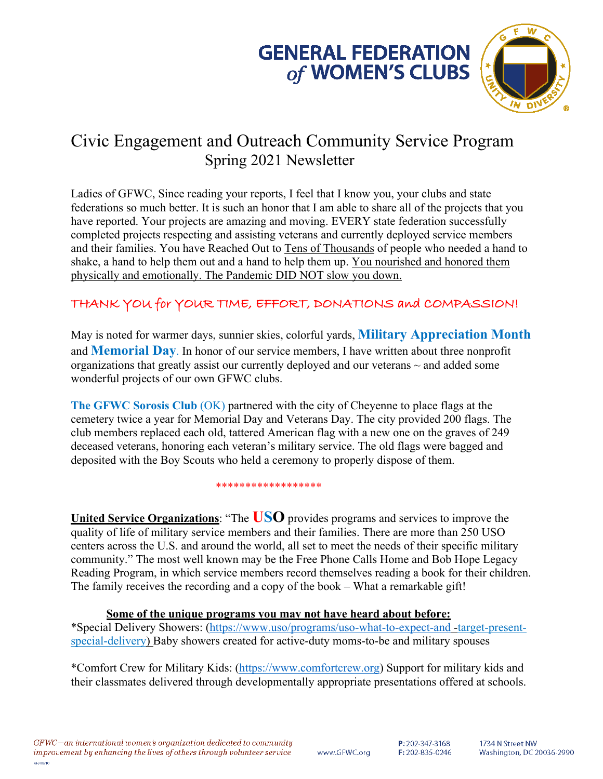



# Civic Engagement and Outreach Community Service Program Spring 2021 Newsletter

Ladies of GFWC, Since reading your reports, I feel that I know you, your clubs and state federations so much better. It is such an honor that I am able to share all of the projects that you have reported. Your projects are amazing and moving. EVERY state federation successfully completed projects respecting and assisting veterans and currently deployed service members and their families. You have Reached Out to Tens of Thousands of people who needed a hand to shake, a hand to help them out and a hand to help them up. You nourished and honored them physically and emotionally. The Pandemic DID NOT slow you down.

## THANK YOU for YOUR TIME, EFFORT, DONATIONS and COMPASSION!

May is noted for warmer days, sunnier skies, colorful yards, **Military Appreciation Month** and **Memorial Day**. In honor of our service members, I have written about three nonprofit organizations that greatly assist our currently deployed and our veterans  $\sim$  and added some wonderful projects of our own GFWC clubs.

**The GFWC Sorosis Club** (OK) partnered with the city of Cheyenne to place flags at the cemetery twice a year for Memorial Day and Veterans Day. The city provided 200 flags. The club members replaced each old, tattered American flag with a new one on the graves of 249 deceased veterans, honoring each veteran's military service. The old flags were bagged and deposited with the Boy Scouts who held a ceremony to properly dispose of them.

\*\*\*\*\*\*\*\*\*\*\*\*\*\*\*\*\*\*

**United Service Organizations**: "The **USO** provides programs and services to improve the quality of life of military service members and their families. There are more than 250 USO centers across the U.S. and around the world, all set to meet the needs of their specific military community." The most well known may be the Free Phone Calls Home and Bob Hope Legacy Reading Program, in which service members record themselves reading a book for their children. The family receives the recording and a copy of the book – What a remarkable gift!

### **Some of the unique programs you may not have heard about before:**

\*Special Delivery Showers: (https://www.uso/programs/uso-what-to-expect-and -target-presentspecial-delivery) Baby showers created for active-duty moms-to-be and military spouses

\*Comfort Crew for Military Kids: (https://www.comfortcrew.org) Support for military kids and their classmates delivered through developmentally appropriate presentations offered at schools.

GFWC-an international women's organization dedicated to community improvement by enhancing the lives of others through volunteer service Rev 08/10

www.GFWC.org

P: 202-347-3168 F: 202-835-0246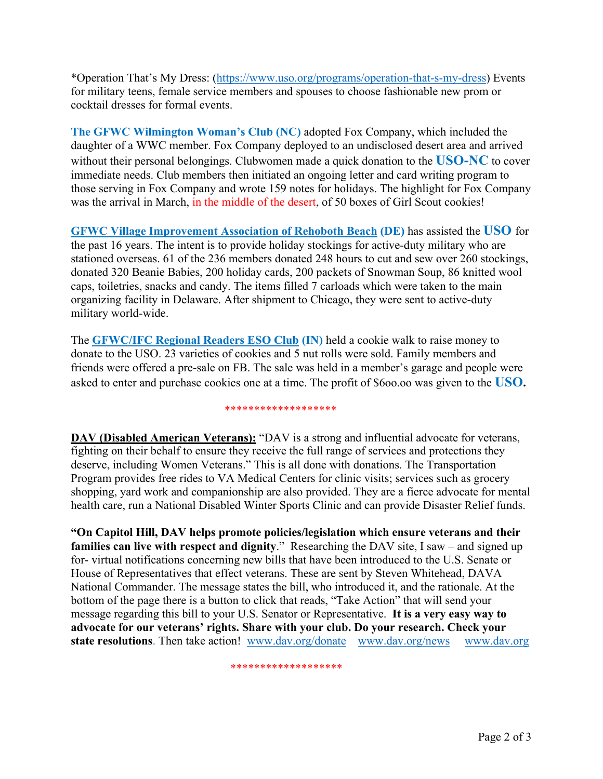\*Operation That's My Dress: (https://www.uso.org/programs/operation-that-s-my-dress) Events for military teens, female service members and spouses to choose fashionable new prom or cocktail dresses for formal events.

**The GFWC Wilmington Woman's Club (NC)** adopted Fox Company, which included the daughter of a WWC member. Fox Company deployed to an undisclosed desert area and arrived without their personal belongings. Clubwomen made a quick donation to the **USO-NC** to cover immediate needs. Club members then initiated an ongoing letter and card writing program to those serving in Fox Company and wrote 159 notes for holidays. The highlight for Fox Company was the arrival in March, in the middle of the desert, of 50 boxes of Girl Scout cookies!

**GFWC Village Improvement Association of Rehoboth Beach (DE)** has assisted the **USO** for the past 16 years. The intent is to provide holiday stockings for active-duty military who are stationed overseas. 61 of the 236 members donated 248 hours to cut and sew over 260 stockings, donated 320 Beanie Babies, 200 holiday cards, 200 packets of Snowman Soup, 86 knitted wool caps, toiletries, snacks and candy. The items filled 7 carloads which were taken to the main organizing facility in Delaware. After shipment to Chicago, they were sent to active-duty military world-wide.

The **GFWC/IFC Regional Readers ESO Club (IN)** held a cookie walk to raise money to donate to the USO. 23 varieties of cookies and 5 nut rolls were sold. Family members and friends were offered a pre-sale on FB. The sale was held in a member's garage and people were asked to enter and purchase cookies one at a time. The profit of \$6oo.oo was given to the **USO.**

### \*\*\*\*\*\*\*\*\*\*\*\*\*\*\*\*\*\*\*

**DAV (Disabled American Veterans):** "DAV is a strong and influential advocate for veterans, fighting on their behalf to ensure they receive the full range of services and protections they deserve, including Women Veterans." This is all done with donations. The Transportation Program provides free rides to VA Medical Centers for clinic visits; services such as grocery shopping, yard work and companionship are also provided. They are a fierce advocate for mental health care, run a National Disabled Winter Sports Clinic and can provide Disaster Relief funds.

**"On Capitol Hill, DAV helps promote policies/legislation which ensure veterans and their families can live with respect and dignity**." Researching the DAV site, I saw – and signed up for- virtual notifications concerning new bills that have been introduced to the U.S. Senate or House of Representatives that effect veterans. These are sent by Steven Whitehead, DAVA National Commander. The message states the bill, who introduced it, and the rationale. At the bottom of the page there is a button to click that reads, "Take Action" that will send your message regarding this bill to your U.S. Senator or Representative. **It is a very easy way to advocate for our veterans' rights. Share with your club. Do your research. Check your state resolutions**. Then take action! www.dav.org/donate www.dav.org/news www.dav.org

\*\*\*\*\*\*\*\*\*\*\*\*\*\*\*\*\*